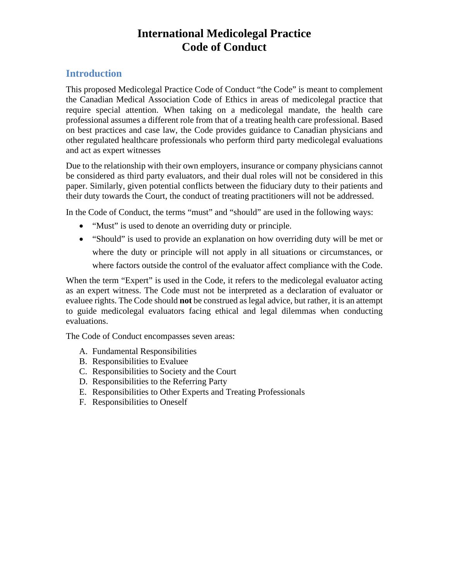# **International Medicolegal Practice Code of Conduct**

# **Introduction**

This proposed Medicolegal Practice Code of Conduct "the Code" is meant to complement the Canadian Medical Association Code of Ethics in areas of medicolegal practice that require special attention. When taking on a medicolegal mandate, the health care professional assumes a different role from that of a treating health care professional. Based on best practices and case law, the Code provides guidance to Canadian physicians and other regulated healthcare professionals who perform third party medicolegal evaluations and act as expert witnesses

Due to the relationship with their own employers, insurance or company physicians cannot be considered as third party evaluators, and their dual roles will not be considered in this paper. Similarly, given potential conflicts between the fiduciary duty to their patients and their duty towards the Court, the conduct of treating practitioners will not be addressed.

In the Code of Conduct, the terms "must" and "should" are used in the following ways:

- "Must" is used to denote an overriding duty or principle.
- "Should" is used to provide an explanation on how overriding duty will be met or where the duty or principle will not apply in all situations or circumstances, or where factors outside the control of the evaluator affect compliance with the Code.

When the term "Expert" is used in the Code, it refers to the medicolegal evaluator acting as an expert witness. The Code must not be interpreted as a declaration of evaluator or evaluee rights. The Code should **not** be construed as legal advice, but rather, it is an attempt to guide medicolegal evaluators facing ethical and legal dilemmas when conducting evaluations.

The Code of Conduct encompasses seven areas:

- A. Fundamental Responsibilities
- B. Responsibilities to Evaluee
- C. Responsibilities to Society and the Court
- D. Responsibilities to the Referring Party
- E. Responsibilities to Other Experts and Treating Professionals
- F. Responsibilities to Oneself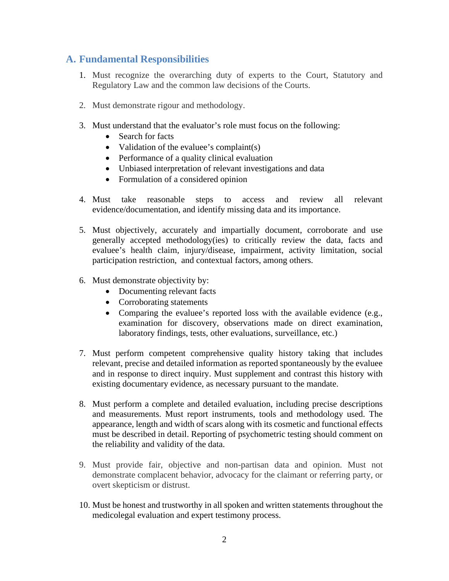# **A. Fundamental Responsibilities**

- 1. Must recognize the overarching duty of experts to the Court, Statutory and Regulatory Law and the common law decisions of the Courts.
- 2. Must demonstrate rigour and methodology.
- 3. Must understand that the evaluator's role must focus on the following:
	- Search for facts
	- Validation of the evaluee's complaint(s)
	- Performance of a quality clinical evaluation
	- Unbiased interpretation of relevant investigations and data
	- Formulation of a considered opinion
- 4. Must take reasonable steps to access and review all relevant evidence/documentation, and identify missing data and its importance.
- 5. Must objectively, accurately and impartially document, corroborate and use generally accepted methodology(ies) to critically review the data, facts and evaluee's health claim, injury/disease, impairment, activity limitation, social participation restriction, and contextual factors, among others.
- 6. Must demonstrate objectivity by:
	- Documenting relevant facts
	- Corroborating statements
	- Comparing the evaluee's reported loss with the available evidence (e.g., examination for discovery, observations made on direct examination, laboratory findings, tests, other evaluations, surveillance, etc.)
- 7. Must perform competent comprehensive quality history taking that includes relevant, precise and detailed information as reported spontaneously by the evaluee and in response to direct inquiry. Must supplement and contrast this history with existing documentary evidence, as necessary pursuant to the mandate.
- 8. Must perform a complete and detailed evaluation, including precise descriptions and measurements. Must report instruments, tools and methodology used. The appearance, length and width of scars along with its cosmetic and functional effects must be described in detail. Reporting of psychometric testing should comment on the reliability and validity of the data.
- 9. Must provide fair, objective and non-partisan data and opinion. Must not demonstrate complacent behavior, advocacy for the claimant or referring party, or overt skepticism or distrust.
- 10. Must be honest and trustworthy in all spoken and written statements throughout the medicolegal evaluation and expert testimony process.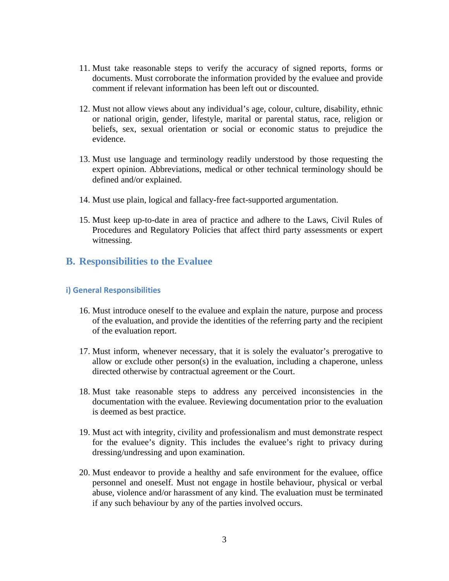- 11. Must take reasonable steps to verify the accuracy of signed reports, forms or documents. Must corroborate the information provided by the evaluee and provide comment if relevant information has been left out or discounted.
- 12. Must not allow views about any individual's age, colour, culture, disability, ethnic or national origin, gender, lifestyle, marital or parental status, race, religion or beliefs, sex, sexual orientation or social or economic status to prejudice the evidence.
- 13. Must use language and terminology readily understood by those requesting the expert opinion. Abbreviations, medical or other technical terminology should be defined and/or explained.
- 14. Must use plain, logical and fallacy-free fact-supported argumentation.
- 15. Must keep up-to-date in area of practice and adhere to the Laws, Civil Rules of Procedures and Regulatory Policies that affect third party assessments or expert witnessing.

## **B. Responsibilities to the Evaluee**

### **i) General Responsibilities**

- 16. Must introduce oneself to the evaluee and explain the nature, purpose and process of the evaluation, and provide the identities of the referring party and the recipient of the evaluation report.
- 17. Must inform, whenever necessary, that it is solely the evaluator's prerogative to allow or exclude other person(s) in the evaluation, including a chaperone, unless directed otherwise by contractual agreement or the Court.
- 18. Must take reasonable steps to address any perceived inconsistencies in the documentation with the evaluee. Reviewing documentation prior to the evaluation is deemed as best practice.
- 19. Must act with integrity, civility and professionalism and must demonstrate respect for the evaluee's dignity. This includes the evaluee's right to privacy during dressing/undressing and upon examination.
- 20. Must endeavor to provide a healthy and safe environment for the evaluee, office personnel and oneself. Must not engage in hostile behaviour, physical or verbal abuse, violence and/or harassment of any kind. The evaluation must be terminated if any such behaviour by any of the parties involved occurs.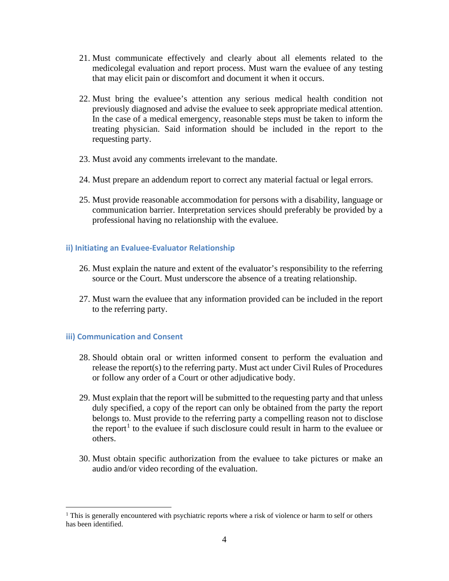- 21. Must communicate effectively and clearly about all elements related to the medicolegal evaluation and report process. Must warn the evaluee of any testing that may elicit pain or discomfort and document it when it occurs.
- 22. Must bring the evaluee's attention any serious medical health condition not previously diagnosed and advise the evaluee to seek appropriate medical attention. In the case of a medical emergency, reasonable steps must be taken to inform the treating physician. Said information should be included in the report to the requesting party.
- 23. Must avoid any comments irrelevant to the mandate.
- 24. Must prepare an addendum report to correct any material factual or legal errors.
- 25. Must provide reasonable accommodation for persons with a disability, language or communication barrier. Interpretation services should preferably be provided by a professional having no relationship with the evaluee.

### **ii) Initiating an Evaluee-Evaluator Relationship**

- 26. Must explain the nature and extent of the evaluator's responsibility to the referring source or the Court. Must underscore the absence of a treating relationship.
- 27. Must warn the evaluee that any information provided can be included in the report to the referring party.

### **iii) Communication and Consent**

- 28. Should obtain oral or written informed consent to perform the evaluation and release the report(s) to the referring party. Must act under Civil Rules of Procedures or follow any order of a Court or other adjudicative body.
- 29. Must explain that the report will be submitted to the requesting party and that unless duly specified, a copy of the report can only be obtained from the party the report belongs to. Must provide to the referring party a compelling reason not to disclose the report<sup>[1](#page-3-0)</sup> to the evaluee if such disclosure could result in harm to the evaluee or others.
- 30. Must obtain specific authorization from the evaluee to take pictures or make an audio and/or video recording of the evaluation.

<span id="page-3-0"></span><sup>&</sup>lt;sup>1</sup> This is generally encountered with psychiatric reports where a risk of violence or harm to self or others has been identified.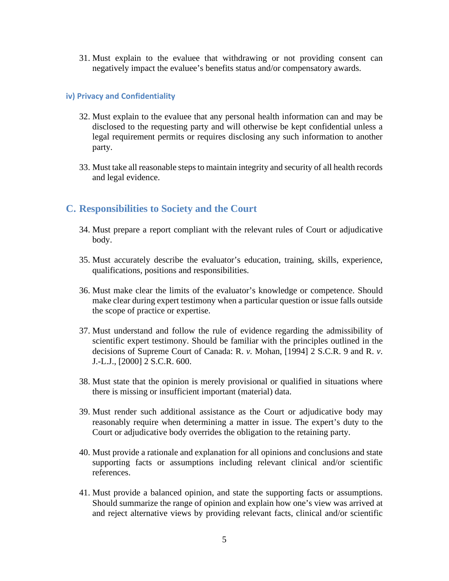31. Must explain to the evaluee that withdrawing or not providing consent can negatively impact the evaluee's benefits status and/or compensatory awards.

#### **iv) Privacy and Confidentiality**

- 32. Must explain to the evaluee that any personal health information can and may be disclosed to the requesting party and will otherwise be kept confidential unless a legal requirement permits or requires disclosing any such information to another party.
- 33. Must take all reasonable steps to maintain integrity and security of all health records and legal evidence.

### **C. Responsibilities to Society and the Court**

- 34. Must prepare a report compliant with the relevant rules of Court or adjudicative body.
- 35. Must accurately describe the evaluator's education, training, skills, experience, qualifications, positions and responsibilities.
- 36. Must make clear the limits of the evaluator's knowledge or competence. Should make clear during expert testimony when a particular question or issue falls outside the scope of practice or expertise.
- 37. Must understand and follow the rule of evidence regarding the admissibility of scientific expert testimony. Should be familiar with the principles outlined in the decisions of Supreme Court of Canada: R. *v.* Mohan, [1994] 2 S.C.R. 9 and R. *v*. J.-L.J., [2000] 2 S.C.R. 600.
- 38. Must state that the opinion is merely provisional or qualified in situations where there is missing or insufficient important (material) data.
- 39. Must render such additional assistance as the Court or adjudicative body may reasonably require when determining a matter in issue. The expert's duty to the Court or adjudicative body overrides the obligation to the retaining party.
- 40. Must provide a rationale and explanation for all opinions and conclusions and state supporting facts or assumptions including relevant clinical and/or scientific references.
- 41. Must provide a balanced opinion, and state the supporting facts or assumptions. Should summarize the range of opinion and explain how one's view was arrived at and reject alternative views by providing relevant facts, clinical and/or scientific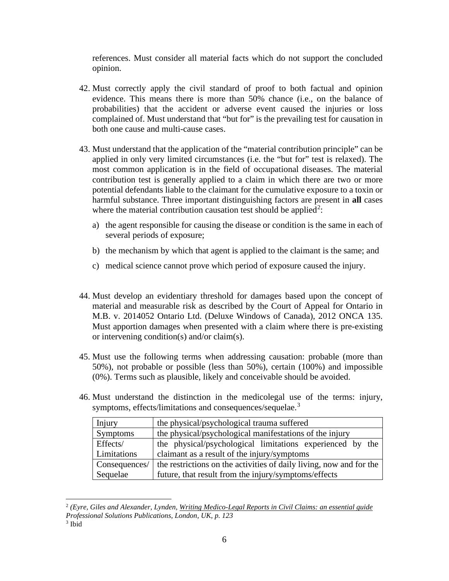references. Must consider all material facts which do not support the concluded opinion.

- 42. Must correctly apply the civil standard of proof to both factual and opinion evidence. This means there is more than 50% chance (i.e., on the balance of probabilities) that the accident or adverse event caused the injuries or loss complained of. Must understand that "but for" is the prevailing test for causation in both one cause and multi-cause cases.
- 43. Must understand that the application of the "material contribution principle" can be applied in only very limited circumstances (i.e. the "but for" test is relaxed). The most common application is in the field of occupational diseases. The material contribution test is generally applied to a claim in which there are two or more potential defendants liable to the claimant for the cumulative exposure to a toxin or harmful substance. Three important distinguishing factors are present in **all** cases where the material contribution causation test should be applied<sup>[2](#page-5-0)</sup>:
	- a) the agent responsible for causing the disease or condition is the same in each of several periods of exposure;
	- b) the mechanism by which that agent is applied to the claimant is the same; and
	- c) medical science cannot prove which period of exposure caused the injury.
- 44. Must develop an evidentiary threshold for damages based upon the concept of material and measurable risk as described by the Court of Appeal for Ontario in M.B. v. 2014052 Ontario Ltd. (Deluxe Windows of Canada), 2012 ONCA 135. Must apportion damages when presented with a claim where there is pre-existing or intervening condition(s) and/or claim(s).
- 45. Must use the following terms when addressing causation: probable (more than 50%), not probable or possible (less than 50%), certain (100%) and impossible (0%). Terms such as plausible, likely and conceivable should be avoided.
- 46. Must understand the distinction in the medicolegal use of the terms: injury, symptoms, effects/limitations and consequences/sequelae.<sup>[3](#page-5-1)</sup>

| Injury          | the physical/psychological trauma suffered                          |
|-----------------|---------------------------------------------------------------------|
| <b>Symptoms</b> | the physical/psychological manifestations of the injury             |
| Effects/        | the physical/psychological limitations experienced by the           |
| Limitations     | claimant as a result of the injury/symptoms                         |
| Consequences/   | the restrictions on the activities of daily living, now and for the |
| Sequelae        | future, that result from the injury/symptoms/effects                |

<span id="page-5-0"></span><sup>2</sup> *(Eyre, Giles and Alexander, Lynden, Writing Medico-Legal Reports in Civil Claims: an essential guide Professional Solutions Publications, London, UK, p. 123*

<span id="page-5-1"></span><sup>3</sup> Ibid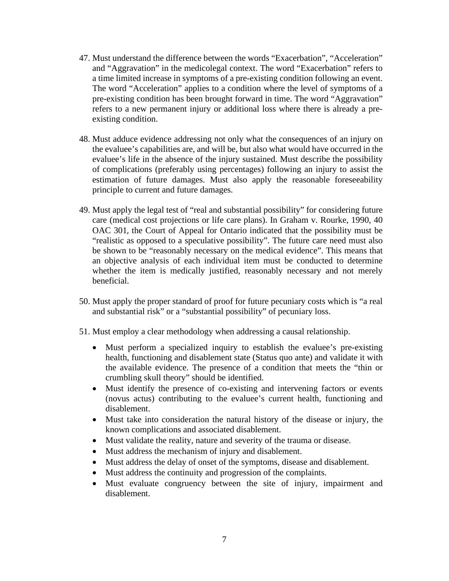- 47. Must understand the difference between the words "Exacerbation", "Acceleration" and "Aggravation" in the medicolegal context. The word "Exacerbation" refers to a time limited increase in symptoms of a pre-existing condition following an event. The word "Acceleration" applies to a condition where the level of symptoms of a pre-existing condition has been brought forward in time. The word "Aggravation" refers to a new permanent injury or additional loss where there is already a preexisting condition.
- 48. Must adduce evidence addressing not only what the consequences of an injury on the evaluee's capabilities are, and will be, but also what would have occurred in the evaluee's life in the absence of the injury sustained. Must describe the possibility of complications (preferably using percentages) following an injury to assist the estimation of future damages. Must also apply the reasonable foreseeability principle to current and future damages.
- 49. Must apply the legal test of "real and substantial possibility" for considering future care (medical cost projections or life care plans). In Graham v. Rourke, 1990, 40 OAC 301, the Court of Appeal for Ontario indicated that the possibility must be "realistic as opposed to a speculative possibility". The future care need must also be shown to be "reasonably necessary on the medical evidence". This means that an objective analysis of each individual item must be conducted to determine whether the item is medically justified, reasonably necessary and not merely beneficial.
- 50. Must apply the proper standard of proof for future pecuniary costs which is "a real and substantial risk" or a "substantial possibility" of pecuniary loss.
- 51. Must employ a clear methodology when addressing a causal relationship.
	- Must perform a specialized inquiry to establish the evaluee's pre-existing health, functioning and disablement state (Status quo ante) and validate it with the available evidence. The presence of a condition that meets the "thin or crumbling skull theory" should be identified.
	- Must identify the presence of co-existing and intervening factors or events (novus actus) contributing to the evaluee's current health, functioning and disablement.
	- Must take into consideration the natural history of the disease or injury, the known complications and associated disablement.
	- Must validate the reality, nature and severity of the trauma or disease.
	- Must address the mechanism of injury and disablement.
	- Must address the delay of onset of the symptoms, disease and disablement.
	- Must address the continuity and progression of the complaints.
	- Must evaluate congruency between the site of injury, impairment and disablement.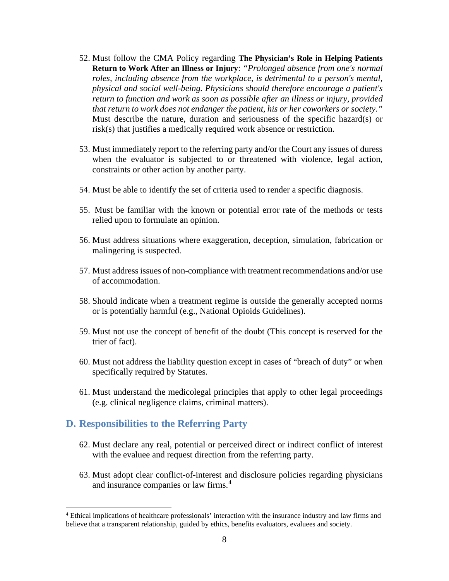- 52. Must follow the CMA Policy regarding **The Physician's Role in Helping Patients Return to Work After an Illness or Injury**: *"Prolonged absence from one's normal roles, including absence from the workplace, is detrimental to a person's mental, physical and social well-being. Physicians should therefore encourage a patient's return to function and work as soon as possible after an illness or injury, provided that return to work does not endanger the patient, his or her coworkers or society."* Must describe the nature, duration and seriousness of the specific hazard(s) or risk(s) that justifies a medically required work absence or restriction.
- 53. Must immediately report to the referring party and/or the Court any issues of duress when the evaluator is subjected to or threatened with violence, legal action, constraints or other action by another party.
- 54. Must be able to identify the set of criteria used to render a specific diagnosis.
- 55. Must be familiar with the known or potential error rate of the methods or tests relied upon to formulate an opinion.
- 56. Must address situations where exaggeration, deception, simulation, fabrication or malingering is suspected.
- 57. Must address issues of non-compliance with treatment recommendations and/or use of accommodation.
- 58. Should indicate when a treatment regime is outside the generally accepted norms or is potentially harmful (e.g., National Opioids Guidelines).
- 59. Must not use the concept of benefit of the doubt (This concept is reserved for the trier of fact).
- 60. Must not address the liability question except in cases of "breach of duty" or when specifically required by Statutes.
- 61. Must understand the medicolegal principles that apply to other legal proceedings (e.g. clinical negligence claims, criminal matters).

### **D. Responsibilities to the Referring Party**

- 62. Must declare any real, potential or perceived direct or indirect conflict of interest with the evaluee and request direction from the referring party.
- 63. Must adopt clear conflict-of-interest and disclosure policies regarding physicians and insurance companies or law firms.<sup>[4](#page-7-0)</sup>

<span id="page-7-0"></span><sup>4</sup> Ethical implications of healthcare professionals' interaction with the insurance industry and law firms and believe that a transparent relationship, guided by ethics, benefits evaluators, evaluees and society.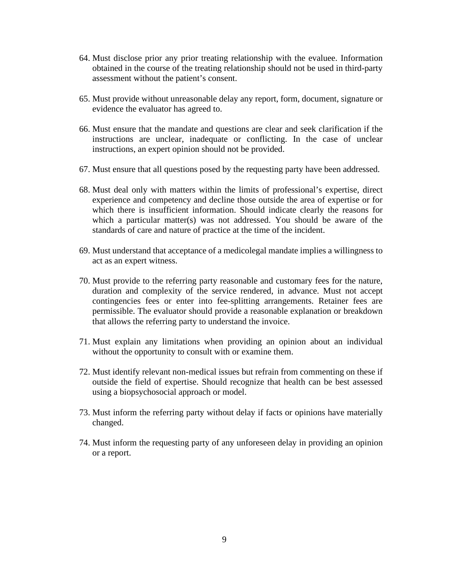- 64. Must disclose prior any prior treating relationship with the evaluee. Information obtained in the course of the treating relationship should not be used in third-party assessment without the patient's consent.
- 65. Must provide without unreasonable delay any report, form, document, signature or evidence the evaluator has agreed to.
- 66. Must ensure that the mandate and questions are clear and seek clarification if the instructions are unclear, inadequate or conflicting. In the case of unclear instructions, an expert opinion should not be provided.
- 67. Must ensure that all questions posed by the requesting party have been addressed.
- 68. Must deal only with matters within the limits of professional's expertise, direct experience and competency and decline those outside the area of expertise or for which there is insufficient information. Should indicate clearly the reasons for which a particular matter(s) was not addressed. You should be aware of the standards of care and nature of practice at the time of the incident.
- 69. Must understand that acceptance of a medicolegal mandate implies a willingness to act as an expert witness.
- 70. Must provide to the referring party reasonable and customary fees for the nature, duration and complexity of the service rendered, in advance. Must not accept contingencies fees or enter into fee-splitting arrangements. Retainer fees are permissible. The evaluator should provide a reasonable explanation or breakdown that allows the referring party to understand the invoice.
- 71. Must explain any limitations when providing an opinion about an individual without the opportunity to consult with or examine them.
- 72. Must identify relevant non-medical issues but refrain from commenting on these if outside the field of expertise. Should recognize that health can be best assessed using a biopsychosocial approach or model.
- 73. Must inform the referring party without delay if facts or opinions have materially changed.
- 74. Must inform the requesting party of any unforeseen delay in providing an opinion or a report.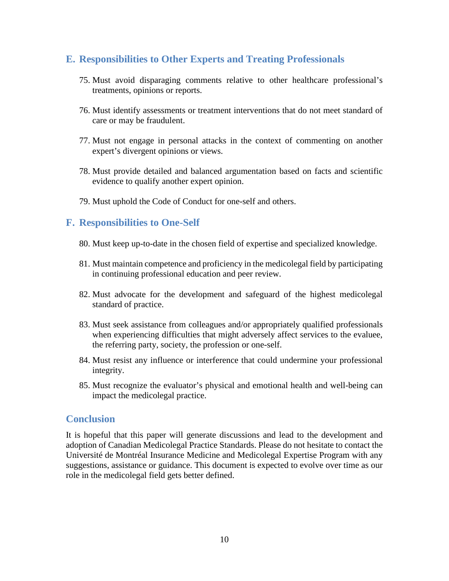# **E. Responsibilities to Other Experts and Treating Professionals**

- 75. Must avoid disparaging comments relative to other healthcare professional's treatments, opinions or reports.
- 76. Must identify assessments or treatment interventions that do not meet standard of care or may be fraudulent.
- 77. Must not engage in personal attacks in the context of commenting on another expert's divergent opinions or views.
- 78. Must provide detailed and balanced argumentation based on facts and scientific evidence to qualify another expert opinion.
- 79. Must uphold the Code of Conduct for one-self and others.

# **F. Responsibilities to One-Self**

- 80. Must keep up-to-date in the chosen field of expertise and specialized knowledge.
- 81. Must maintain competence and proficiency in the medicolegal field by participating in continuing professional education and peer review.
- 82. Must advocate for the development and safeguard of the highest medicolegal standard of practice.
- 83. Must seek assistance from colleagues and/or appropriately qualified professionals when experiencing difficulties that might adversely affect services to the evaluee, the referring party, society, the profession or one-self.
- 84. Must resist any influence or interference that could undermine your professional integrity.
- 85. Must recognize the evaluator's physical and emotional health and well-being can impact the medicolegal practice.

# **Conclusion**

It is hopeful that this paper will generate discussions and lead to the development and adoption of Canadian Medicolegal Practice Standards. Please do not hesitate to contact the Université de Montréal Insurance Medicine and Medicolegal Expertise Program with any suggestions, assistance or guidance. This document is expected to evolve over time as our role in the medicolegal field gets better defined.